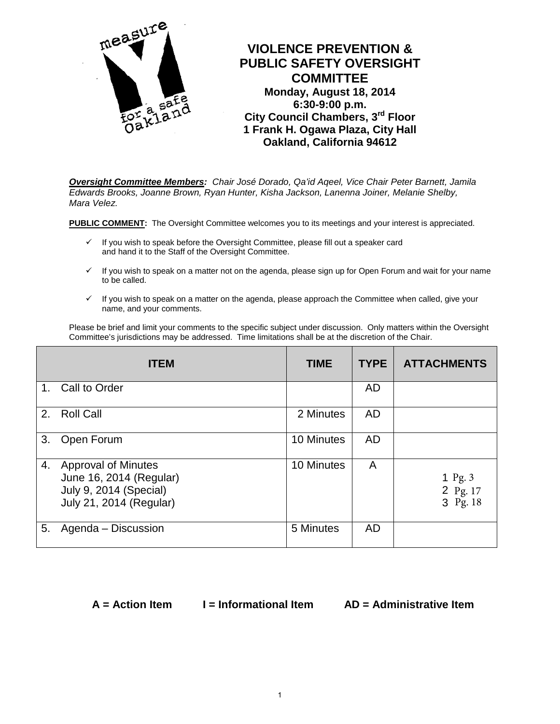

*Oversight Committee Members: Chair José Dorado, Qa'id Aqeel, Vice Chair Peter Barnett, Jamila Edwards Brooks, Joanne Brown, Ryan Hunter, Kisha Jackson, Lanenna Joiner, Melanie Shelby, Mara Velez.*

**PUBLIC COMMENT:** The Oversight Committee welcomes you to its meetings and your interest is appreciated.

- $\checkmark$  If you wish to speak before the Oversight Committee, please fill out a speaker card and hand it to the Staff of the Oversight Committee.
- $\checkmark$  If you wish to speak on a matter not on the agenda, please sign up for Open Forum and wait for your name to be called.
- $\checkmark$  If you wish to speak on a matter on the agenda, please approach the Committee when called, give your name, and your comments.

Please be brief and limit your comments to the specific subject under discussion. Only matters within the Oversight Committee's jurisdictions may be addressed. Time limitations shall be at the discretion of the Chair.

|             | <b>ITEM</b>                                                                                                | <b>TIME</b> | <b>TYPE</b> | <b>ATTACHMENTS</b>                |
|-------------|------------------------------------------------------------------------------------------------------------|-------------|-------------|-----------------------------------|
| $1_{\cdot}$ | Call to Order                                                                                              |             | <b>AD</b>   |                                   |
| 2.          | <b>Roll Call</b>                                                                                           | 2 Minutes   | <b>AD</b>   |                                   |
| 3.          | Open Forum                                                                                                 | 10 Minutes  | <b>AD</b>   |                                   |
| 4.          | <b>Approval of Minutes</b><br>June 16, 2014 (Regular)<br>July 9, 2014 (Special)<br>July 21, 2014 (Regular) | 10 Minutes  | A           | 1 Pg. $3$<br>2 Pg. 17<br>3 Pg. 18 |
| 5.          | Agenda - Discussion                                                                                        | 5 Minutes   | <b>AD</b>   |                                   |

**A = Action Item I = Informational Item AD = Administrative Item**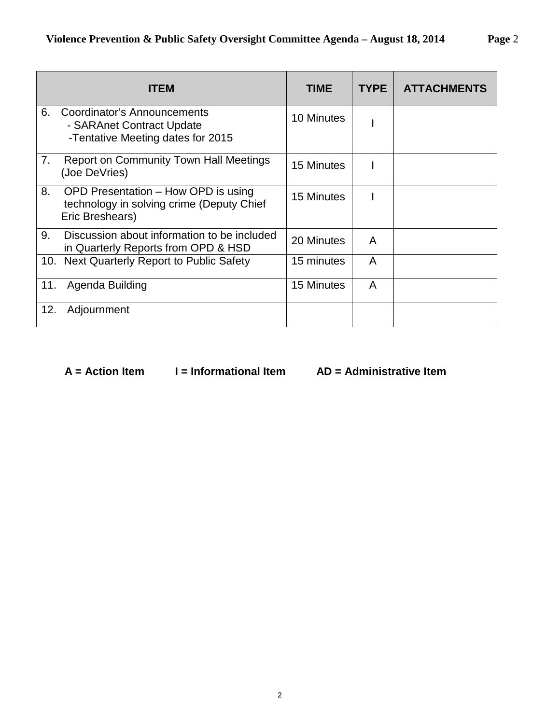|     | <b>ITEM</b>                                                                                         | <b>TIME</b> | <b>TYPE</b> | <b>ATTACHMENTS</b> |
|-----|-----------------------------------------------------------------------------------------------------|-------------|-------------|--------------------|
| 6.  | Coordinator's Announcements<br>- SARAnet Contract Update<br>-Tentative Meeting dates for 2015       | 10 Minutes  |             |                    |
| 7.  | <b>Report on Community Town Hall Meetings</b><br>(Joe DeVries)                                      | 15 Minutes  |             |                    |
| 8.  | OPD Presentation - How OPD is using<br>technology in solving crime (Deputy Chief<br>Eric Breshears) | 15 Minutes  |             |                    |
| 9.  | Discussion about information to be included<br>in Quarterly Reports from OPD & HSD                  | 20 Minutes  | A           |                    |
| 10. | Next Quarterly Report to Public Safety                                                              | 15 minutes  | A           |                    |
| 11. | Agenda Building                                                                                     | 15 Minutes  | A           |                    |
| 12. | Adjournment                                                                                         |             |             |                    |

 **A = Action Item I = Informational Item AD = Administrative Item**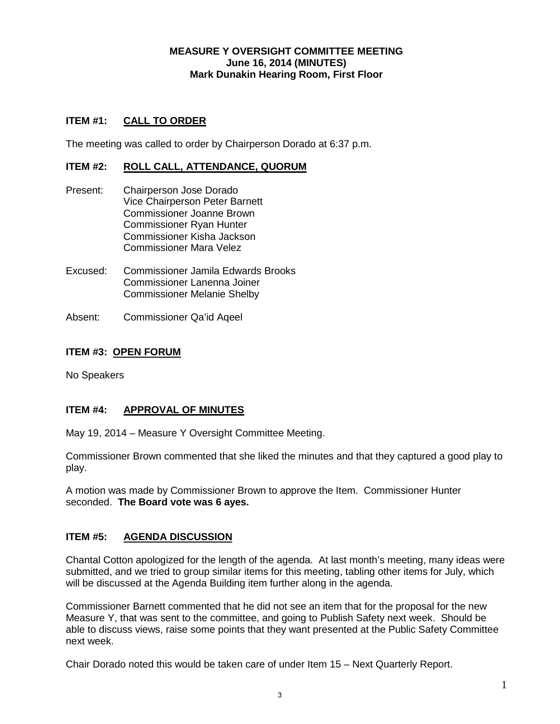#### **MEASURE Y OVERSIGHT COMMITTEE MEETING June 16, 2014 (MINUTES) Mark Dunakin Hearing Room, First Floor**

### **ITEM #1: CALL TO ORDER**

The meeting was called to order by Chairperson Dorado at 6:37 p.m.

#### **ITEM #2: ROLL CALL, ATTENDANCE, QUORUM**

- Present: Chairperson Jose Dorado Vice Chairperson Peter Barnett Commissioner Joanne Brown Commissioner Ryan Hunter Commissioner Kisha Jackson Commissioner Mara Velez
- Excused: Commissioner Jamila Edwards Brooks Commissioner Lanenna Joiner Commissioner Melanie Shelby
- Absent: Commissioner Qa'id Aqeel

#### **ITEM #3: OPEN FORUM**

No Speakers

#### **ITEM #4: APPROVAL OF MINUTES**

May 19, 2014 – Measure Y Oversight Committee Meeting.

Commissioner Brown commented that she liked the minutes and that they captured a good play to play.

A motion was made by Commissioner Brown to approve the Item. Commissioner Hunter seconded. **The Board vote was 6 ayes.**

#### **ITEM #5: AGENDA DISCUSSION**

Chantal Cotton apologized for the length of the agenda. At last month's meeting, many ideas were submitted, and we tried to group similar items for this meeting, tabling other items for July, which will be discussed at the Agenda Building item further along in the agenda.

Commissioner Barnett commented that he did not see an item that for the proposal for the new Measure Y, that was sent to the committee, and going to Publish Safety next week. Should be able to discuss views, raise some points that they want presented at the Public Safety Committee next week.

Chair Dorado noted this would be taken care of under Item 15 – Next Quarterly Report.

1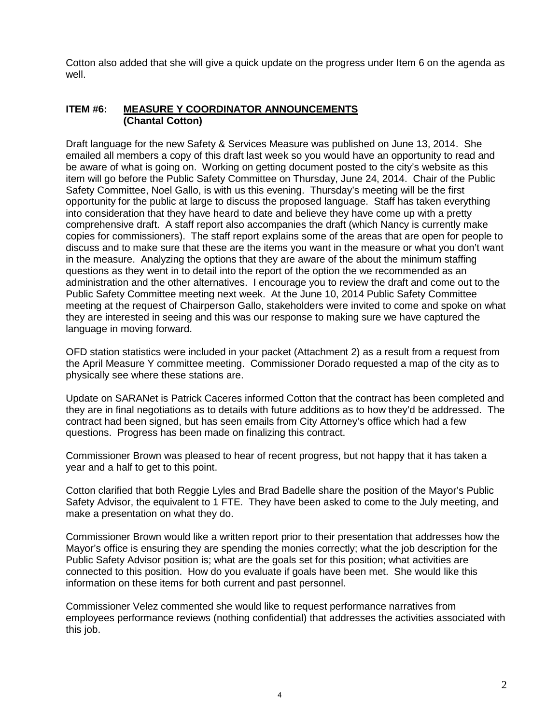Cotton also added that she will give a quick update on the progress under Item 6 on the agenda as well.

#### **ITEM #6: MEASURE Y COORDINATOR ANNOUNCEMENTS (Chantal Cotton)**

Draft language for the new Safety & Services Measure was published on June 13, 2014. She emailed all members a copy of this draft last week so you would have an opportunity to read and be aware of what is going on. Working on getting document posted to the city's website as this item will go before the Public Safety Committee on Thursday, June 24, 2014. Chair of the Public Safety Committee, Noel Gallo, is with us this evening. Thursday's meeting will be the first opportunity for the public at large to discuss the proposed language. Staff has taken everything into consideration that they have heard to date and believe they have come up with a pretty comprehensive draft. A staff report also accompanies the draft (which Nancy is currently make copies for commissioners). The staff report explains some of the areas that are open for people to discuss and to make sure that these are the items you want in the measure or what you don't want in the measure. Analyzing the options that they are aware of the about the minimum staffing questions as they went in to detail into the report of the option the we recommended as an administration and the other alternatives. I encourage you to review the draft and come out to the Public Safety Committee meeting next week. At the June 10, 2014 Public Safety Committee meeting at the request of Chairperson Gallo, stakeholders were invited to come and spoke on what they are interested in seeing and this was our response to making sure we have captured the language in moving forward.

OFD station statistics were included in your packet (Attachment 2) as a result from a request from the April Measure Y committee meeting. Commissioner Dorado requested a map of the city as to physically see where these stations are.

Update on SARANet is Patrick Caceres informed Cotton that the contract has been completed and they are in final negotiations as to details with future additions as to how they'd be addressed. The contract had been signed, but has seen emails from City Attorney's office which had a few questions. Progress has been made on finalizing this contract.

Commissioner Brown was pleased to hear of recent progress, but not happy that it has taken a year and a half to get to this point.

Cotton clarified that both Reggie Lyles and Brad Badelle share the position of the Mayor's Public Safety Advisor, the equivalent to 1 FTE. They have been asked to come to the July meeting, and make a presentation on what they do.

Commissioner Brown would like a written report prior to their presentation that addresses how the Mayor's office is ensuring they are spending the monies correctly; what the job description for the Public Safety Advisor position is; what are the goals set for this position; what activities are connected to this position. How do you evaluate if goals have been met. She would like this information on these items for both current and past personnel.

Commissioner Velez commented she would like to request performance narratives from employees performance reviews (nothing confidential) that addresses the activities associated with this job.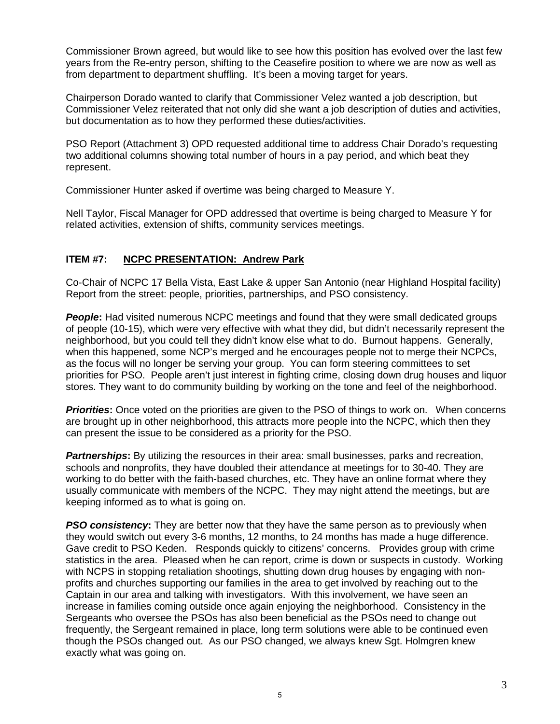Commissioner Brown agreed, but would like to see how this position has evolved over the last few years from the Re-entry person, shifting to the Ceasefire position to where we are now as well as from department to department shuffling. It's been a moving target for years.

Chairperson Dorado wanted to clarify that Commissioner Velez wanted a job description, but Commissioner Velez reiterated that not only did she want a job description of duties and activities, but documentation as to how they performed these duties/activities.

PSO Report (Attachment 3) OPD requested additional time to address Chair Dorado's requesting two additional columns showing total number of hours in a pay period, and which beat they represent.

Commissioner Hunter asked if overtime was being charged to Measure Y.

Nell Taylor, Fiscal Manager for OPD addressed that overtime is being charged to Measure Y for related activities, extension of shifts, community services meetings.

### **ITEM #7: NCPC PRESENTATION: Andrew Park**

Co-Chair of NCPC 17 Bella Vista, East Lake & upper San Antonio (near Highland Hospital facility) Report from the street: people, priorities, partnerships, and PSO consistency.

**People:** Had visited numerous NCPC meetings and found that they were small dedicated groups of people (10-15), which were very effective with what they did, but didn't necessarily represent the neighborhood, but you could tell they didn't know else what to do. Burnout happens. Generally, when this happened, some NCP's merged and he encourages people not to merge their NCPCs, as the focus will no longer be serving your group. You can form steering committees to set priorities for PSO. People aren't just interest in fighting crime, closing down drug houses and liquor stores. They want to do community building by working on the tone and feel of the neighborhood.

*Priorities*: Once voted on the priorities are given to the PSO of things to work on. When concerns are brought up in other neighborhood, this attracts more people into the NCPC, which then they can present the issue to be considered as a priority for the PSO.

**Partnerships:** By utilizing the resources in their area: small businesses, parks and recreation, schools and nonprofits, they have doubled their attendance at meetings for to 30-40. They are working to do better with the faith-based churches, etc. They have an online format where they usually communicate with members of the NCPC. They may night attend the meetings, but are keeping informed as to what is going on.

**PSO consistency:** They are better now that they have the same person as to previously when they would switch out every 3-6 months, 12 months, to 24 months has made a huge difference. Gave credit to PSO Keden. Responds quickly to citizens' concerns. Provides group with crime statistics in the area. Pleased when he can report, crime is down or suspects in custody. Working with NCPS in stopping retaliation shootings, shutting down drug houses by engaging with nonprofits and churches supporting our families in the area to get involved by reaching out to the Captain in our area and talking with investigators. With this involvement, we have seen an increase in families coming outside once again enjoying the neighborhood. Consistency in the Sergeants who oversee the PSOs has also been beneficial as the PSOs need to change out frequently, the Sergeant remained in place, long term solutions were able to be continued even though the PSOs changed out. As our PSO changed, we always knew Sgt. Holmgren knew exactly what was going on.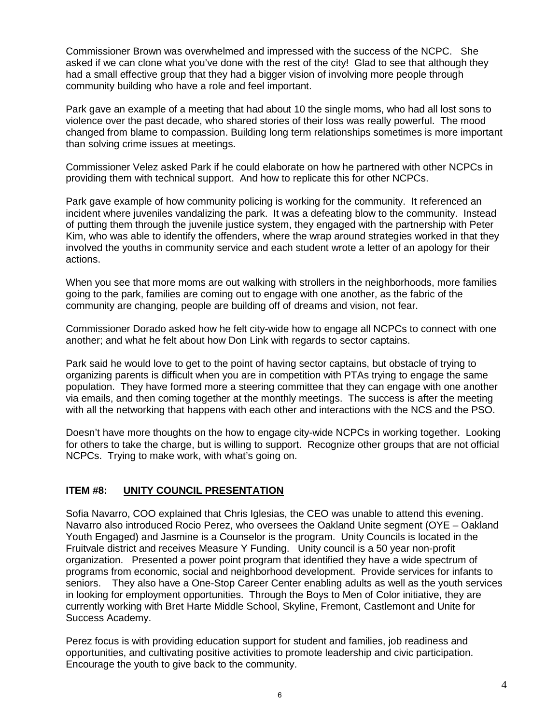Commissioner Brown was overwhelmed and impressed with the success of the NCPC. She asked if we can clone what you've done with the rest of the city! Glad to see that although they had a small effective group that they had a bigger vision of involving more people through community building who have a role and feel important.

Park gave an example of a meeting that had about 10 the single moms, who had all lost sons to violence over the past decade, who shared stories of their loss was really powerful. The mood changed from blame to compassion. Building long term relationships sometimes is more important than solving crime issues at meetings.

Commissioner Velez asked Park if he could elaborate on how he partnered with other NCPCs in providing them with technical support. And how to replicate this for other NCPCs.

Park gave example of how community policing is working for the community. It referenced an incident where juveniles vandalizing the park. It was a defeating blow to the community. Instead of putting them through the juvenile justice system, they engaged with the partnership with Peter Kim, who was able to identify the offenders, where the wrap around strategies worked in that they involved the youths in community service and each student wrote a letter of an apology for their actions.

When you see that more moms are out walking with strollers in the neighborhoods, more families going to the park, families are coming out to engage with one another, as the fabric of the community are changing, people are building off of dreams and vision, not fear.

Commissioner Dorado asked how he felt city-wide how to engage all NCPCs to connect with one another; and what he felt about how Don Link with regards to sector captains.

Park said he would love to get to the point of having sector captains, but obstacle of trying to organizing parents is difficult when you are in competition with PTAs trying to engage the same population. They have formed more a steering committee that they can engage with one another via emails, and then coming together at the monthly meetings. The success is after the meeting with all the networking that happens with each other and interactions with the NCS and the PSO.

Doesn't have more thoughts on the how to engage city-wide NCPCs in working together. Looking for others to take the charge, but is willing to support. Recognize other groups that are not official NCPCs. Trying to make work, with what's going on.

#### **ITEM #8: UNITY COUNCIL PRESENTATION**

Sofia Navarro, COO explained that Chris Iglesias, the CEO was unable to attend this evening. Navarro also introduced Rocio Perez, who oversees the Oakland Unite segment (OYE – Oakland Youth Engaged) and Jasmine is a Counselor is the program. Unity Councils is located in the Fruitvale district and receives Measure Y Funding. Unity council is a 50 year non-profit organization. Presented a power point program that identified they have a wide spectrum of programs from economic, social and neighborhood development. Provide services for infants to seniors. They also have a One-Stop Career Center enabling adults as well as the youth services in looking for employment opportunities. Through the Boys to Men of Color initiative, they are currently working with Bret Harte Middle School, Skyline, Fremont, Castlemont and Unite for Success Academy.

Perez focus is with providing education support for student and families, job readiness and opportunities, and cultivating positive activities to promote leadership and civic participation. Encourage the youth to give back to the community.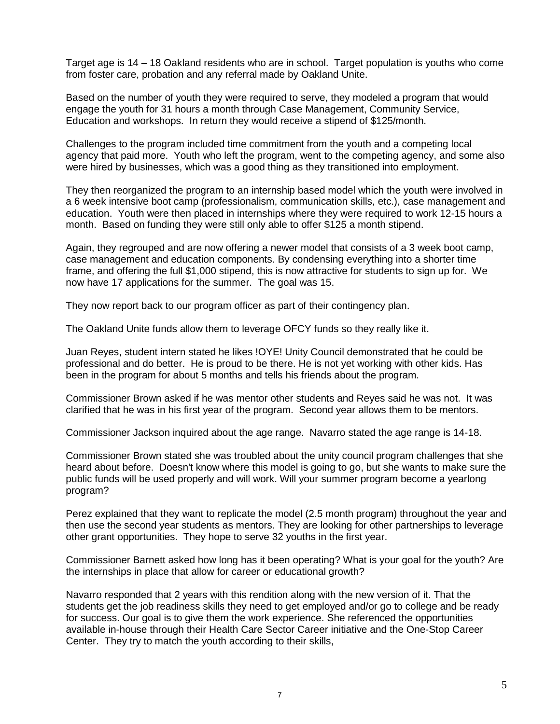Target age is 14 – 18 Oakland residents who are in school. Target population is youths who come from foster care, probation and any referral made by Oakland Unite.

Based on the number of youth they were required to serve, they modeled a program that would engage the youth for 31 hours a month through Case Management, Community Service, Education and workshops. In return they would receive a stipend of \$125/month.

Challenges to the program included time commitment from the youth and a competing local agency that paid more. Youth who left the program, went to the competing agency, and some also were hired by businesses, which was a good thing as they transitioned into employment.

They then reorganized the program to an internship based model which the youth were involved in a 6 week intensive boot camp (professionalism, communication skills, etc.), case management and education. Youth were then placed in internships where they were required to work 12-15 hours a month. Based on funding they were still only able to offer \$125 a month stipend.

Again, they regrouped and are now offering a newer model that consists of a 3 week boot camp, case management and education components. By condensing everything into a shorter time frame, and offering the full \$1,000 stipend, this is now attractive for students to sign up for. We now have 17 applications for the summer. The goal was 15.

They now report back to our program officer as part of their contingency plan.

The Oakland Unite funds allow them to leverage OFCY funds so they really like it.

Juan Reyes, student intern stated he likes !OYE! Unity Council demonstrated that he could be professional and do better. He is proud to be there. He is not yet working with other kids. Has been in the program for about 5 months and tells his friends about the program.

Commissioner Brown asked if he was mentor other students and Reyes said he was not. It was clarified that he was in his first year of the program. Second year allows them to be mentors.

Commissioner Jackson inquired about the age range. Navarro stated the age range is 14-18.

Commissioner Brown stated she was troubled about the unity council program challenges that she heard about before. Doesn't know where this model is going to go, but she wants to make sure the public funds will be used properly and will work. Will your summer program become a yearlong program?

Perez explained that they want to replicate the model (2.5 month program) throughout the year and then use the second year students as mentors. They are looking for other partnerships to leverage other grant opportunities. They hope to serve 32 youths in the first year.

Commissioner Barnett asked how long has it been operating? What is your goal for the youth? Are the internships in place that allow for career or educational growth?

Navarro responded that 2 years with this rendition along with the new version of it. That the students get the job readiness skills they need to get employed and/or go to college and be ready for success. Our goal is to give them the work experience. She referenced the opportunities available in-house through their Health Care Sector Career initiative and the One-Stop Career Center. They try to match the youth according to their skills,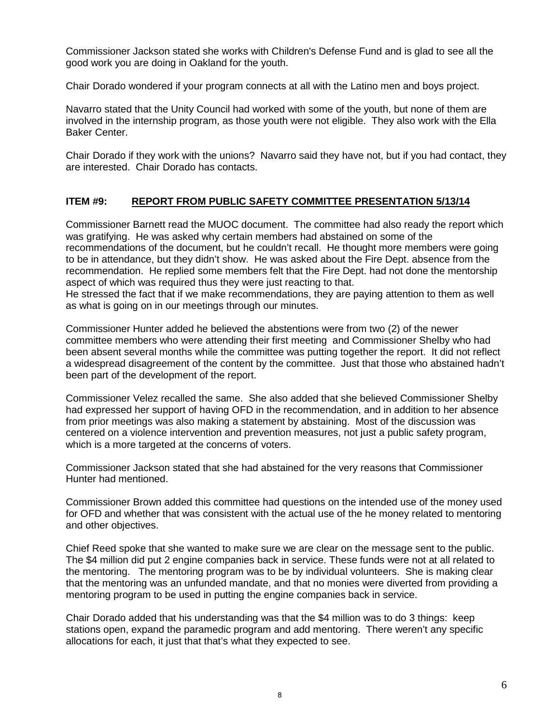Commissioner Jackson stated she works with Children's Defense Fund and is glad to see all the good work you are doing in Oakland for the youth.

Chair Dorado wondered if your program connects at all with the Latino men and boys project.

Navarro stated that the Unity Council had worked with some of the youth, but none of them are involved in the internship program, as those youth were not eligible. They also work with the Ella Baker Center.

Chair Dorado if they work with the unions? Navarro said they have not, but if you had contact, they are interested. Chair Dorado has contacts.

#### **ITEM #9: REPORT FROM PUBLIC SAFETY COMMITTEE PRESENTATION 5/13/14**

Commissioner Barnett read the MUOC document. The committee had also ready the report which was gratifying. He was asked why certain members had abstained on some of the recommendations of the document, but he couldn't recall. He thought more members were going to be in attendance, but they didn't show. He was asked about the Fire Dept. absence from the recommendation. He replied some members felt that the Fire Dept. had not done the mentorship aspect of which was required thus they were just reacting to that.

He stressed the fact that if we make recommendations, they are paying attention to them as well as what is going on in our meetings through our minutes.

Commissioner Hunter added he believed the abstentions were from two (2) of the newer committee members who were attending their first meeting and Commissioner Shelby who had been absent several months while the committee was putting together the report. It did not reflect a widespread disagreement of the content by the committee. Just that those who abstained hadn't been part of the development of the report.

Commissioner Velez recalled the same. She also added that she believed Commissioner Shelby had expressed her support of having OFD in the recommendation, and in addition to her absence from prior meetings was also making a statement by abstaining. Most of the discussion was centered on a violence intervention and prevention measures, not just a public safety program, which is a more targeted at the concerns of voters.

Commissioner Jackson stated that she had abstained for the very reasons that Commissioner Hunter had mentioned.

Commissioner Brown added this committee had questions on the intended use of the money used for OFD and whether that was consistent with the actual use of the he money related to mentoring and other objectives.

Chief Reed spoke that she wanted to make sure we are clear on the message sent to the public. The \$4 million did put 2 engine companies back in service. These funds were not at all related to the mentoring. The mentoring program was to be by individual volunteers. She is making clear that the mentoring was an unfunded mandate, and that no monies were diverted from providing a mentoring program to be used in putting the engine companies back in service.

Chair Dorado added that his understanding was that the \$4 million was to do 3 things: keep stations open, expand the paramedic program and add mentoring. There weren't any specific allocations for each, it just that that's what they expected to see.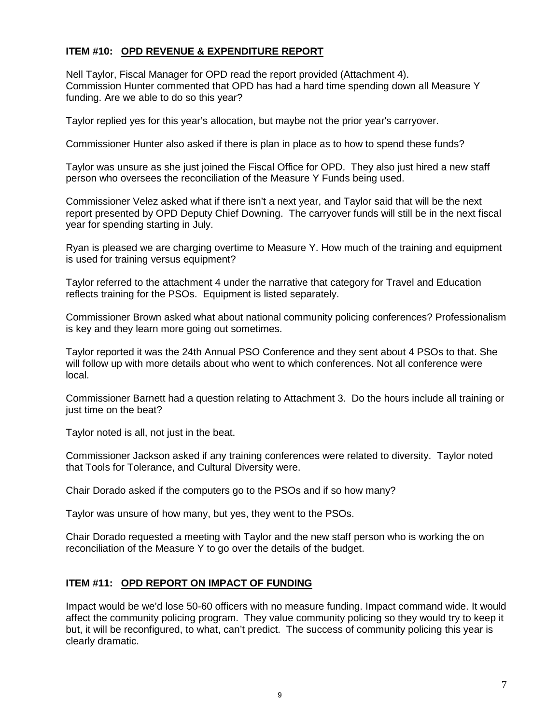### **ITEM #10: OPD REVENUE & EXPENDITURE REPORT**

Nell Taylor, Fiscal Manager for OPD read the report provided (Attachment 4). Commission Hunter commented that OPD has had a hard time spending down all Measure Y funding. Are we able to do so this year?

Taylor replied yes for this year's allocation, but maybe not the prior year's carryover.

Commissioner Hunter also asked if there is plan in place as to how to spend these funds?

Taylor was unsure as she just joined the Fiscal Office for OPD. They also just hired a new staff person who oversees the reconciliation of the Measure Y Funds being used.

Commissioner Velez asked what if there isn't a next year, and Taylor said that will be the next report presented by OPD Deputy Chief Downing. The carryover funds will still be in the next fiscal year for spending starting in July.

Ryan is pleased we are charging overtime to Measure Y. How much of the training and equipment is used for training versus equipment?

Taylor referred to the attachment 4 under the narrative that category for Travel and Education reflects training for the PSOs. Equipment is listed separately.

Commissioner Brown asked what about national community policing conferences? Professionalism is key and they learn more going out sometimes.

Taylor reported it was the 24th Annual PSO Conference and they sent about 4 PSOs to that. She will follow up with more details about who went to which conferences. Not all conference were local.

Commissioner Barnett had a question relating to Attachment 3. Do the hours include all training or just time on the beat?

Taylor noted is all, not just in the beat.

Commissioner Jackson asked if any training conferences were related to diversity. Taylor noted that Tools for Tolerance, and Cultural Diversity were.

Chair Dorado asked if the computers go to the PSOs and if so how many?

Taylor was unsure of how many, but yes, they went to the PSOs.

Chair Dorado requested a meeting with Taylor and the new staff person who is working the on reconciliation of the Measure Y to go over the details of the budget.

#### **ITEM #11: OPD REPORT ON IMPACT OF FUNDING**

Impact would be we'd lose 50-60 officers with no measure funding. Impact command wide. It would affect the community policing program. They value community policing so they would try to keep it but, it will be reconfigured, to what, can't predict. The success of community policing this year is clearly dramatic.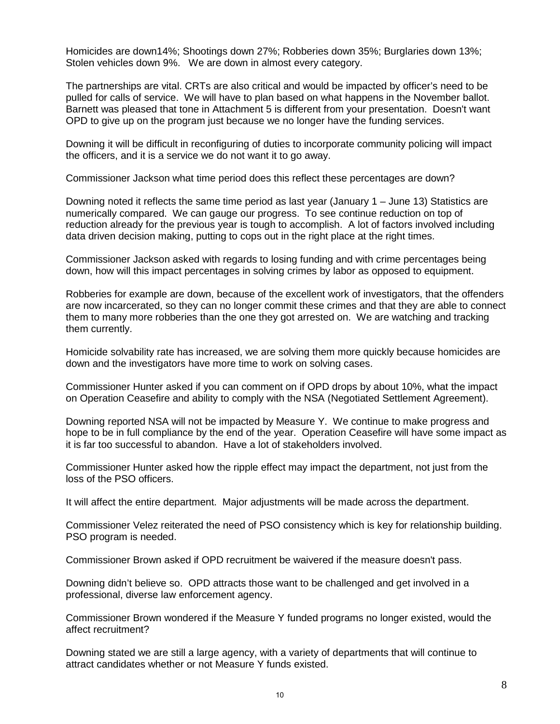Homicides are down14%; Shootings down 27%; Robberies down 35%; Burglaries down 13%; Stolen vehicles down 9%. We are down in almost every category.

The partnerships are vital. CRTs are also critical and would be impacted by officer's need to be pulled for calls of service. We will have to plan based on what happens in the November ballot. Barnett was pleased that tone in Attachment 5 is different from your presentation. Doesn't want OPD to give up on the program just because we no longer have the funding services.

Downing it will be difficult in reconfiguring of duties to incorporate community policing will impact the officers, and it is a service we do not want it to go away.

Commissioner Jackson what time period does this reflect these percentages are down?

Downing noted it reflects the same time period as last year (January  $1 -$  June 13) Statistics are numerically compared. We can gauge our progress. To see continue reduction on top of reduction already for the previous year is tough to accomplish. A lot of factors involved including data driven decision making, putting to cops out in the right place at the right times.

Commissioner Jackson asked with regards to losing funding and with crime percentages being down, how will this impact percentages in solving crimes by labor as opposed to equipment.

Robberies for example are down, because of the excellent work of investigators, that the offenders are now incarcerated, so they can no longer commit these crimes and that they are able to connect them to many more robberies than the one they got arrested on. We are watching and tracking them currently.

Homicide solvability rate has increased, we are solving them more quickly because homicides are down and the investigators have more time to work on solving cases.

Commissioner Hunter asked if you can comment on if OPD drops by about 10%, what the impact on Operation Ceasefire and ability to comply with the NSA (Negotiated Settlement Agreement).

Downing reported NSA will not be impacted by Measure Y. We continue to make progress and hope to be in full compliance by the end of the year. Operation Ceasefire will have some impact as it is far too successful to abandon. Have a lot of stakeholders involved.

Commissioner Hunter asked how the ripple effect may impact the department, not just from the loss of the PSO officers.

It will affect the entire department. Major adjustments will be made across the department.

Commissioner Velez reiterated the need of PSO consistency which is key for relationship building. PSO program is needed.

Commissioner Brown asked if OPD recruitment be waivered if the measure doesn't pass.

Downing didn't believe so. OPD attracts those want to be challenged and get involved in a professional, diverse law enforcement agency.

Commissioner Brown wondered if the Measure Y funded programs no longer existed, would the affect recruitment?

Downing stated we are still a large agency, with a variety of departments that will continue to attract candidates whether or not Measure Y funds existed.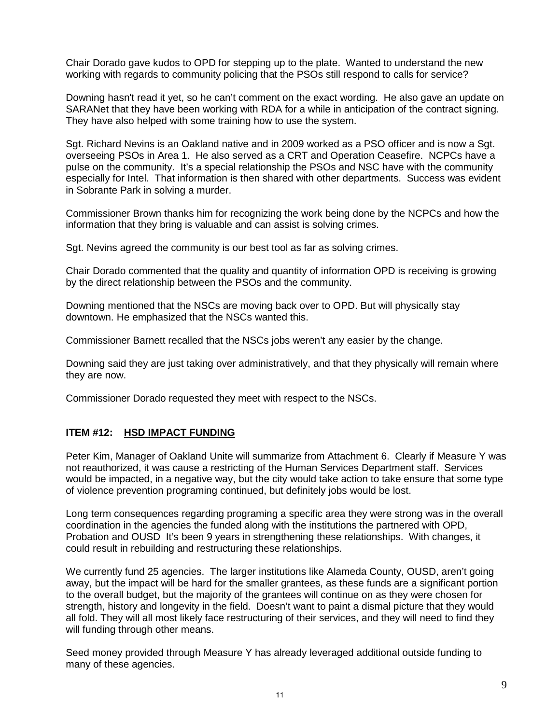Chair Dorado gave kudos to OPD for stepping up to the plate. Wanted to understand the new working with regards to community policing that the PSOs still respond to calls for service?

Downing hasn't read it yet, so he can't comment on the exact wording. He also gave an update on SARANet that they have been working with RDA for a while in anticipation of the contract signing. They have also helped with some training how to use the system.

Sgt. Richard Nevins is an Oakland native and in 2009 worked as a PSO officer and is now a Sgt. overseeing PSOs in Area 1. He also served as a CRT and Operation Ceasefire. NCPCs have a pulse on the community. It's a special relationship the PSOs and NSC have with the community especially for Intel. That information is then shared with other departments. Success was evident in Sobrante Park in solving a murder.

Commissioner Brown thanks him for recognizing the work being done by the NCPCs and how the information that they bring is valuable and can assist is solving crimes.

Sgt. Nevins agreed the community is our best tool as far as solving crimes.

Chair Dorado commented that the quality and quantity of information OPD is receiving is growing by the direct relationship between the PSOs and the community.

Downing mentioned that the NSCs are moving back over to OPD. But will physically stay downtown. He emphasized that the NSCs wanted this.

Commissioner Barnett recalled that the NSCs jobs weren't any easier by the change.

Downing said they are just taking over administratively, and that they physically will remain where they are now.

Commissioner Dorado requested they meet with respect to the NSCs.

#### **ITEM #12: HSD IMPACT FUNDING**

Peter Kim, Manager of Oakland Unite will summarize from Attachment 6. Clearly if Measure Y was not reauthorized, it was cause a restricting of the Human Services Department staff. Services would be impacted, in a negative way, but the city would take action to take ensure that some type of violence prevention programing continued, but definitely jobs would be lost.

Long term consequences regarding programing a specific area they were strong was in the overall coordination in the agencies the funded along with the institutions the partnered with OPD, Probation and OUSD It's been 9 years in strengthening these relationships. With changes, it could result in rebuilding and restructuring these relationships.

We currently fund 25 agencies. The larger institutions like Alameda County, OUSD, aren't going away, but the impact will be hard for the smaller grantees, as these funds are a significant portion to the overall budget, but the majority of the grantees will continue on as they were chosen for strength, history and longevity in the field. Doesn't want to paint a dismal picture that they would all fold. They will all most likely face restructuring of their services, and they will need to find they will funding through other means.

Seed money provided through Measure Y has already leveraged additional outside funding to many of these agencies.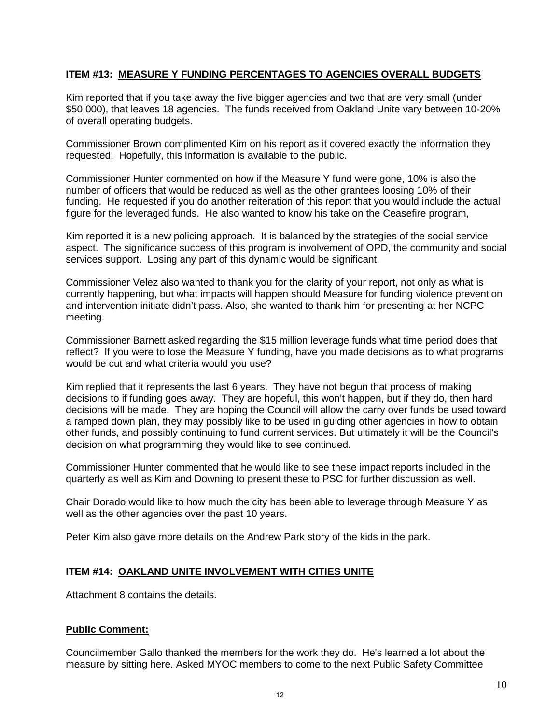### **ITEM #13: MEASURE Y FUNDING PERCENTAGES TO AGENCIES OVERALL BUDGETS**

Kim reported that if you take away the five bigger agencies and two that are very small (under \$50,000), that leaves 18 agencies. The funds received from Oakland Unite vary between 10-20% of overall operating budgets.

Commissioner Brown complimented Kim on his report as it covered exactly the information they requested. Hopefully, this information is available to the public.

Commissioner Hunter commented on how if the Measure Y fund were gone, 10% is also the number of officers that would be reduced as well as the other grantees loosing 10% of their funding. He requested if you do another reiteration of this report that you would include the actual figure for the leveraged funds. He also wanted to know his take on the Ceasefire program,

Kim reported it is a new policing approach. It is balanced by the strategies of the social service aspect. The significance success of this program is involvement of OPD, the community and social services support. Losing any part of this dynamic would be significant.

Commissioner Velez also wanted to thank you for the clarity of your report, not only as what is currently happening, but what impacts will happen should Measure for funding violence prevention and intervention initiate didn't pass. Also, she wanted to thank him for presenting at her NCPC meeting.

Commissioner Barnett asked regarding the \$15 million leverage funds what time period does that reflect? If you were to lose the Measure Y funding, have you made decisions as to what programs would be cut and what criteria would you use?

Kim replied that it represents the last 6 years. They have not begun that process of making decisions to if funding goes away. They are hopeful, this won't happen, but if they do, then hard decisions will be made. They are hoping the Council will allow the carry over funds be used toward a ramped down plan, they may possibly like to be used in guiding other agencies in how to obtain other funds, and possibly continuing to fund current services. But ultimately it will be the Council's decision on what programming they would like to see continued.

Commissioner Hunter commented that he would like to see these impact reports included in the quarterly as well as Kim and Downing to present these to PSC for further discussion as well.

Chair Dorado would like to how much the city has been able to leverage through Measure Y as well as the other agencies over the past 10 years.

Peter Kim also gave more details on the Andrew Park story of the kids in the park.

#### **ITEM #14: OAKLAND UNITE INVOLVEMENT WITH CITIES UNITE**

Attachment 8 contains the details.

#### **Public Comment:**

Councilmember Gallo thanked the members for the work they do. He's learned a lot about the measure by sitting here. Asked MYOC members to come to the next Public Safety Committee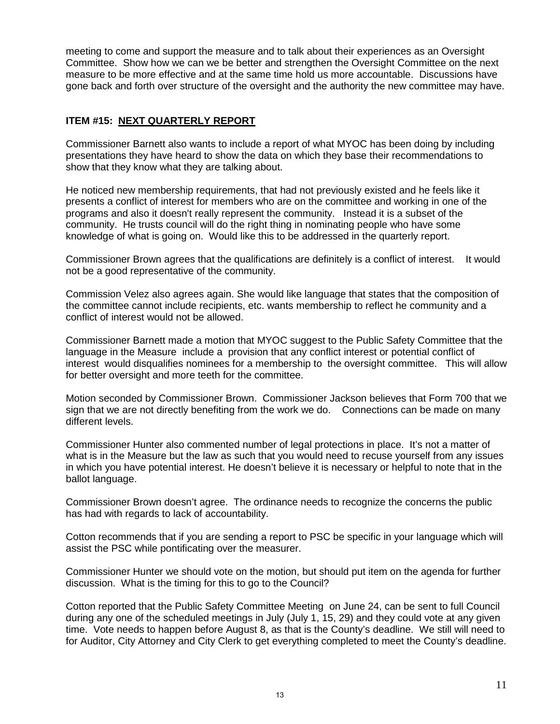meeting to come and support the measure and to talk about their experiences as an Oversight Committee. Show how we can we be better and strengthen the Oversight Committee on the next measure to be more effective and at the same time hold us more accountable. Discussions have gone back and forth over structure of the oversight and the authority the new committee may have.

### **ITEM #15: NEXT QUARTERLY REPORT**

Commissioner Barnett also wants to include a report of what MYOC has been doing by including presentations they have heard to show the data on which they base their recommendations to show that they know what they are talking about.

He noticed new membership requirements, that had not previously existed and he feels like it presents a conflict of interest for members who are on the committee and working in one of the programs and also it doesn't really represent the community. Instead it is a subset of the community. He trusts council will do the right thing in nominating people who have some knowledge of what is going on. Would like this to be addressed in the quarterly report.

Commissioner Brown agrees that the qualifications are definitely is a conflict of interest. It would not be a good representative of the community.

Commission Velez also agrees again. She would like language that states that the composition of the committee cannot include recipients, etc. wants membership to reflect he community and a conflict of interest would not be allowed.

Commissioner Barnett made a motion that MYOC suggest to the Public Safety Committee that the language in the Measure include a provision that any conflict interest or potential conflict of interest would disqualifies nominees for a membership to the oversight committee. This will allow for better oversight and more teeth for the committee.

Motion seconded by Commissioner Brown. Commissioner Jackson believes that Form 700 that we sign that we are not directly benefiting from the work we do. Connections can be made on many different levels.

Commissioner Hunter also commented number of legal protections in place. It's not a matter of what is in the Measure but the law as such that you would need to recuse yourself from any issues in which you have potential interest. He doesn't believe it is necessary or helpful to note that in the ballot language.

Commissioner Brown doesn't agree. The ordinance needs to recognize the concerns the public has had with regards to lack of accountability.

Cotton recommends that if you are sending a report to PSC be specific in your language which will assist the PSC while pontificating over the measurer.

Commissioner Hunter we should vote on the motion, but should put item on the agenda for further discussion. What is the timing for this to go to the Council?

Cotton reported that the Public Safety Committee Meeting on June 24, can be sent to full Council during any one of the scheduled meetings in July (July 1, 15, 29) and they could vote at any given time. Vote needs to happen before August 8, as that is the County's deadline. We still will need to for Auditor, City Attorney and City Clerk to get everything completed to meet the County's deadline.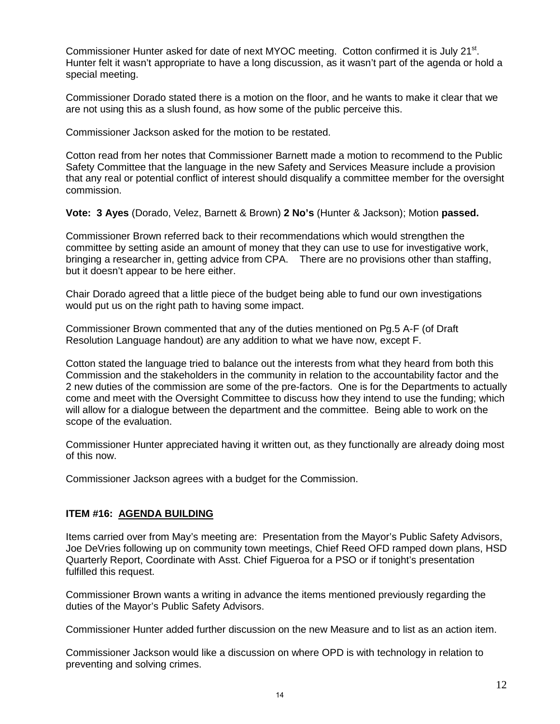Commissioner Hunter asked for date of next MYOC meeting. Cotton confirmed it is July 21<sup>st</sup>. Hunter felt it wasn't appropriate to have a long discussion, as it wasn't part of the agenda or hold a special meeting.

Commissioner Dorado stated there is a motion on the floor, and he wants to make it clear that we are not using this as a slush found, as how some of the public perceive this.

Commissioner Jackson asked for the motion to be restated.

Cotton read from her notes that Commissioner Barnett made a motion to recommend to the Public Safety Committee that the language in the new Safety and Services Measure include a provision that any real or potential conflict of interest should disqualify a committee member for the oversight commission.

**Vote: 3 Ayes** (Dorado, Velez, Barnett & Brown) **2 No's** (Hunter & Jackson); Motion **passed.**

Commissioner Brown referred back to their recommendations which would strengthen the committee by setting aside an amount of money that they can use to use for investigative work, bringing a researcher in, getting advice from CPA. There are no provisions other than staffing, but it doesn't appear to be here either.

Chair Dorado agreed that a little piece of the budget being able to fund our own investigations would put us on the right path to having some impact.

Commissioner Brown commented that any of the duties mentioned on Pg.5 A-F (of Draft Resolution Language handout) are any addition to what we have now, except F.

Cotton stated the language tried to balance out the interests from what they heard from both this Commission and the stakeholders in the community in relation to the accountability factor and the 2 new duties of the commission are some of the pre-factors. One is for the Departments to actually come and meet with the Oversight Committee to discuss how they intend to use the funding; which will allow for a dialogue between the department and the committee. Being able to work on the scope of the evaluation.

Commissioner Hunter appreciated having it written out, as they functionally are already doing most of this now.

Commissioner Jackson agrees with a budget for the Commission.

#### **ITEM #16: AGENDA BUILDING**

Items carried over from May's meeting are: Presentation from the Mayor's Public Safety Advisors, Joe DeVries following up on community town meetings, Chief Reed OFD ramped down plans, HSD Quarterly Report, Coordinate with Asst. Chief Figueroa for a PSO or if tonight's presentation fulfilled this request.

Commissioner Brown wants a writing in advance the items mentioned previously regarding the duties of the Mayor's Public Safety Advisors.

Commissioner Hunter added further discussion on the new Measure and to list as an action item.

Commissioner Jackson would like a discussion on where OPD is with technology in relation to preventing and solving crimes.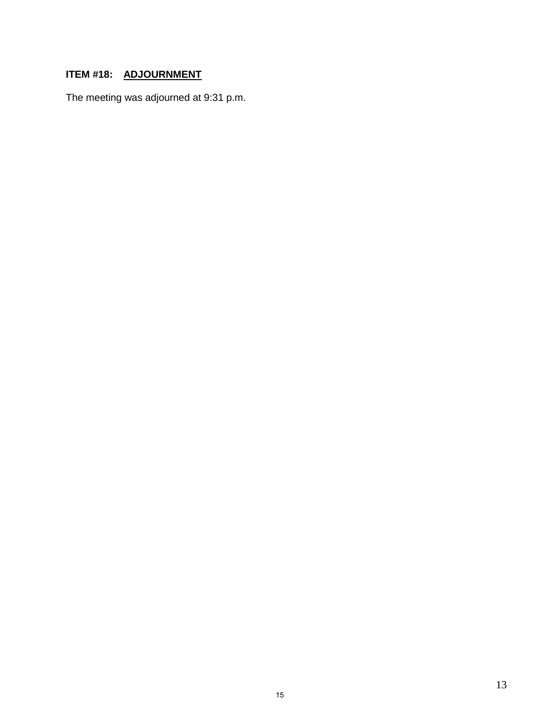## **ITEM #18: ADJOURNMENT**

The meeting was adjourned at 9:31 p.m.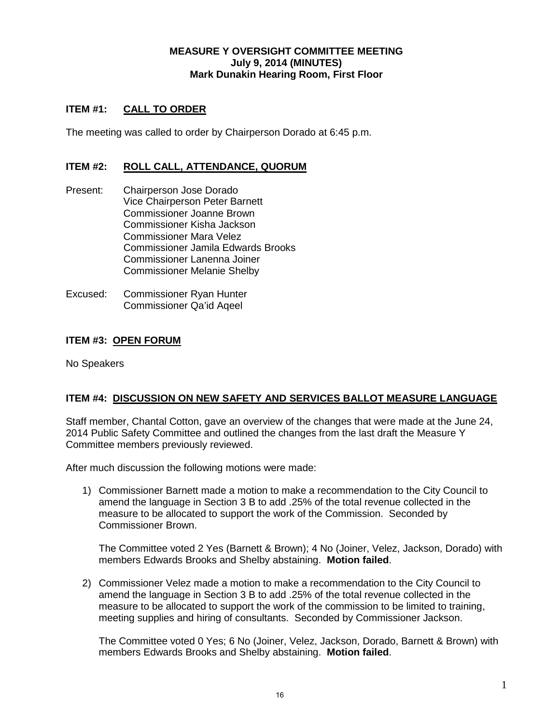#### **MEASURE Y OVERSIGHT COMMITTEE MEETING July 9, 2014 (MINUTES) Mark Dunakin Hearing Room, First Floor**

### **ITEM #1: CALL TO ORDER**

The meeting was called to order by Chairperson Dorado at 6:45 p.m.

#### **ITEM #2: ROLL CALL, ATTENDANCE, QUORUM**

- Present: Chairperson Jose Dorado Vice Chairperson Peter Barnett Commissioner Joanne Brown Commissioner Kisha Jackson Commissioner Mara Velez Commissioner Jamila Edwards Brooks Commissioner Lanenna Joiner Commissioner Melanie Shelby
- Excused: Commissioner Ryan Hunter Commissioner Qa'id Aqeel

#### **ITEM #3: OPEN FORUM**

No Speakers

#### **ITEM #4: DISCUSSION ON NEW SAFETY AND SERVICES BALLOT MEASURE LANGUAGE**

Staff member, Chantal Cotton, gave an overview of the changes that were made at the June 24, 2014 Public Safety Committee and outlined the changes from the last draft the Measure Y Committee members previously reviewed.

After much discussion the following motions were made:

1) Commissioner Barnett made a motion to make a recommendation to the City Council to amend the language in Section 3 B to add .25% of the total revenue collected in the measure to be allocated to support the work of the Commission. Seconded by Commissioner Brown.

The Committee voted 2 Yes (Barnett & Brown); 4 No (Joiner, Velez, Jackson, Dorado) with members Edwards Brooks and Shelby abstaining. **Motion failed**.

2) Commissioner Velez made a motion to make a recommendation to the City Council to amend the language in Section 3 B to add .25% of the total revenue collected in the measure to be allocated to support the work of the commission to be limited to training, meeting supplies and hiring of consultants. Seconded by Commissioner Jackson.

The Committee voted 0 Yes; 6 No (Joiner, Velez, Jackson, Dorado, Barnett & Brown) with members Edwards Brooks and Shelby abstaining. **Motion failed**.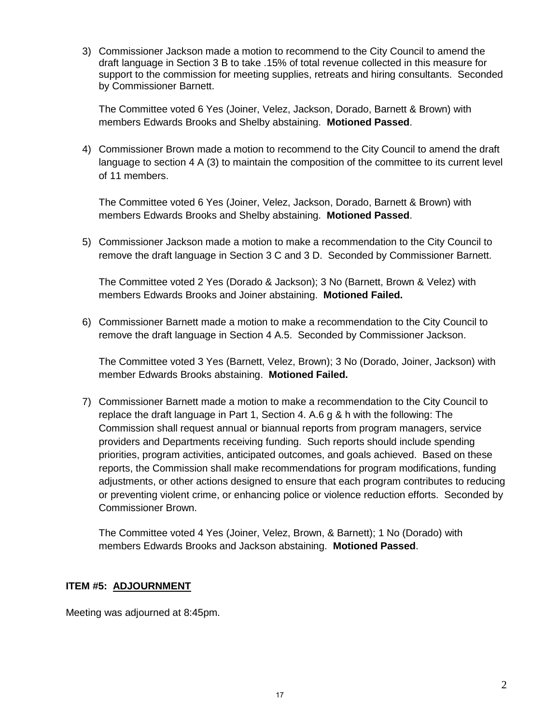3) Commissioner Jackson made a motion to recommend to the City Council to amend the draft language in Section 3 B to take .15% of total revenue collected in this measure for support to the commission for meeting supplies, retreats and hiring consultants. Seconded by Commissioner Barnett.

The Committee voted 6 Yes (Joiner, Velez, Jackson, Dorado, Barnett & Brown) with members Edwards Brooks and Shelby abstaining. **Motioned Passed**.

4) Commissioner Brown made a motion to recommend to the City Council to amend the draft language to section 4 A (3) to maintain the composition of the committee to its current level of 11 members.

The Committee voted 6 Yes (Joiner, Velez, Jackson, Dorado, Barnett & Brown) with members Edwards Brooks and Shelby abstaining. **Motioned Passed**.

5) Commissioner Jackson made a motion to make a recommendation to the City Council to remove the draft language in Section 3 C and 3 D. Seconded by Commissioner Barnett.

The Committee voted 2 Yes (Dorado & Jackson); 3 No (Barnett, Brown & Velez) with members Edwards Brooks and Joiner abstaining. **Motioned Failed.**

6) Commissioner Barnett made a motion to make a recommendation to the City Council to remove the draft language in Section 4 A.5. Seconded by Commissioner Jackson.

The Committee voted 3 Yes (Barnett, Velez, Brown); 3 No (Dorado, Joiner, Jackson) with member Edwards Brooks abstaining. **Motioned Failed.**

7) Commissioner Barnett made a motion to make a recommendation to the City Council to replace the draft language in Part 1, Section 4. A.6 g & h with the following: The Commission shall request annual or biannual reports from program managers, service providers and Departments receiving funding. Such reports should include spending priorities, program activities, anticipated outcomes, and goals achieved. Based on these reports, the Commission shall make recommendations for program modifications, funding adjustments, or other actions designed to ensure that each program contributes to reducing or preventing violent crime, or enhancing police or violence reduction efforts. Seconded by Commissioner Brown.

The Committee voted 4 Yes (Joiner, Velez, Brown, & Barnett); 1 No (Dorado) with members Edwards Brooks and Jackson abstaining. **Motioned Passed**.

#### **ITEM #5: ADJOURNMENT**

Meeting was adjourned at 8:45pm.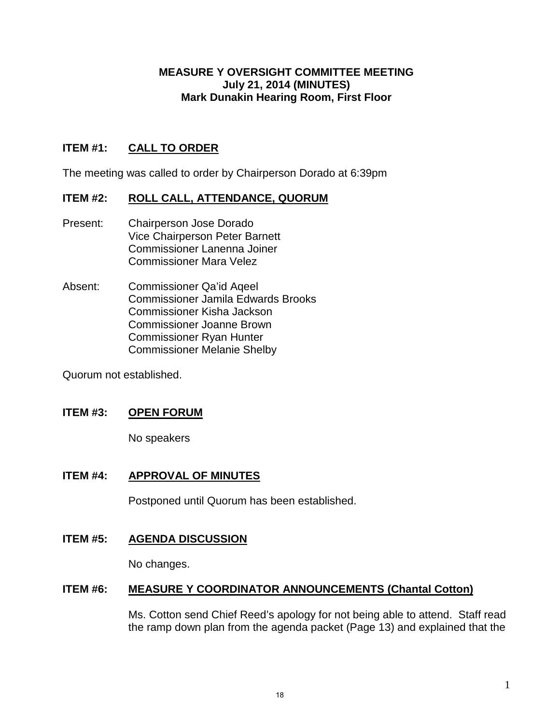### **MEASURE Y OVERSIGHT COMMITTEE MEETING July 21, 2014 (MINUTES) Mark Dunakin Hearing Room, First Floor**

## **ITEM #1: CALL TO ORDER**

The meeting was called to order by Chairperson Dorado at 6:39pm

### **ITEM #2: ROLL CALL, ATTENDANCE, QUORUM**

- Present: Chairperson Jose Dorado Vice Chairperson Peter Barnett Commissioner Lanenna Joiner Commissioner Mara Velez
- Absent: Commissioner Qa'id Aqeel Commissioner Jamila Edwards Brooks Commissioner Kisha Jackson Commissioner Joanne Brown Commissioner Ryan Hunter Commissioner Melanie Shelby

Quorum not established.

### **ITEM #3: OPEN FORUM**

No speakers

#### **ITEM #4: APPROVAL OF MINUTES**

Postponed until Quorum has been established.

**ITEM #5: AGENDA DISCUSSION**

No changes.

#### **ITEM #6: MEASURE Y COORDINATOR ANNOUNCEMENTS (Chantal Cotton)**

Ms. Cotton send Chief Reed's apology for not being able to attend. Staff read the ramp down plan from the agenda packet (Page 13) and explained that the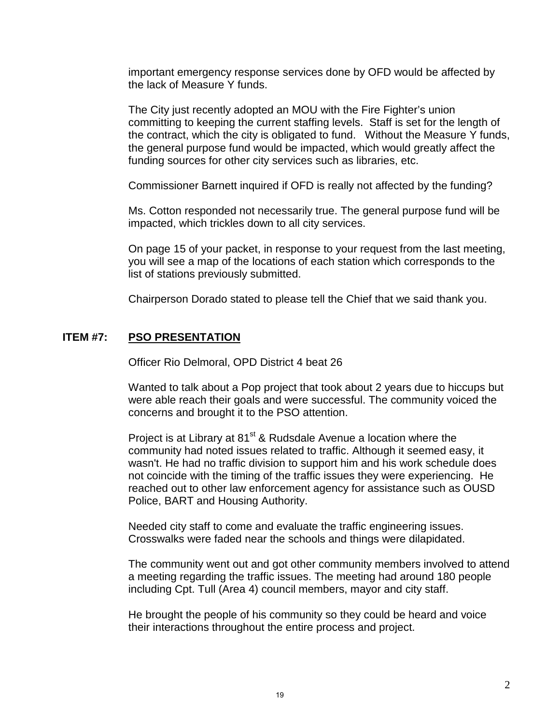important emergency response services done by OFD would be affected by the lack of Measure Y funds.

The City just recently adopted an MOU with the Fire Fighter's union committing to keeping the current staffing levels. Staff is set for the length of the contract, which the city is obligated to fund. Without the Measure Y funds, the general purpose fund would be impacted, which would greatly affect the funding sources for other city services such as libraries, etc.

Commissioner Barnett inquired if OFD is really not affected by the funding?

Ms. Cotton responded not necessarily true. The general purpose fund will be impacted, which trickles down to all city services.

On page 15 of your packet, in response to your request from the last meeting, you will see a map of the locations of each station which corresponds to the list of stations previously submitted.

Chairperson Dorado stated to please tell the Chief that we said thank you.

## **ITEM #7: PSO PRESENTATION**

Officer Rio Delmoral, OPD District 4 beat 26

Wanted to talk about a Pop project that took about 2 years due to hiccups but were able reach their goals and were successful. The community voiced the concerns and brought it to the PSO attention.

Project is at Library at 81<sup>st</sup> & Rudsdale Avenue a location where the community had noted issues related to traffic. Although it seemed easy, it wasn't. He had no traffic division to support him and his work schedule does not coincide with the timing of the traffic issues they were experiencing. He reached out to other law enforcement agency for assistance such as OUSD Police, BART and Housing Authority.

Needed city staff to come and evaluate the traffic engineering issues. Crosswalks were faded near the schools and things were dilapidated.

The community went out and got other community members involved to attend a meeting regarding the traffic issues. The meeting had around 180 people including Cpt. Tull (Area 4) council members, mayor and city staff.

He brought the people of his community so they could be heard and voice their interactions throughout the entire process and project.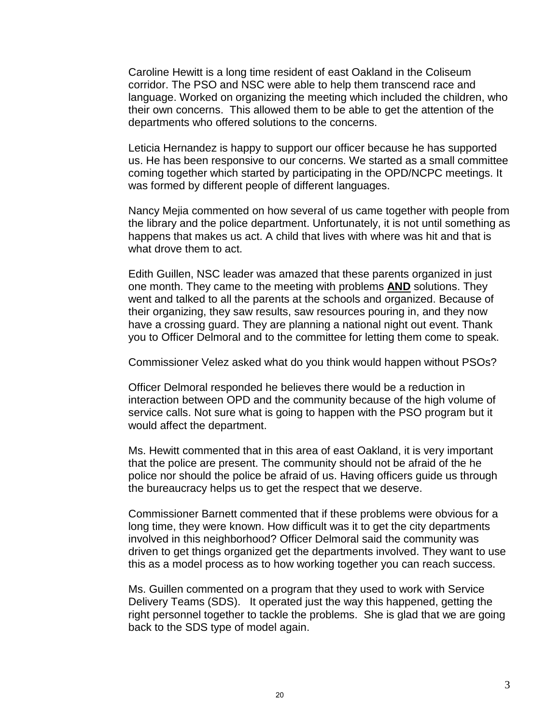Caroline Hewitt is a long time resident of east Oakland in the Coliseum corridor. The PSO and NSC were able to help them transcend race and language. Worked on organizing the meeting which included the children, who their own concerns. This allowed them to be able to get the attention of the departments who offered solutions to the concerns.

Leticia Hernandez is happy to support our officer because he has supported us. He has been responsive to our concerns. We started as a small committee coming together which started by participating in the OPD/NCPC meetings. It was formed by different people of different languages.

Nancy Mejia commented on how several of us came together with people from the library and the police department. Unfortunately, it is not until something as happens that makes us act. A child that lives with where was hit and that is what drove them to act.

Edith Guillen, NSC leader was amazed that these parents organized in just one month. They came to the meeting with problems **AND** solutions. They went and talked to all the parents at the schools and organized. Because of their organizing, they saw results, saw resources pouring in, and they now have a crossing guard. They are planning a national night out event. Thank you to Officer Delmoral and to the committee for letting them come to speak.

Commissioner Velez asked what do you think would happen without PSOs?

Officer Delmoral responded he believes there would be a reduction in interaction between OPD and the community because of the high volume of service calls. Not sure what is going to happen with the PSO program but it would affect the department.

Ms. Hewitt commented that in this area of east Oakland, it is very important that the police are present. The community should not be afraid of the he police nor should the police be afraid of us. Having officers guide us through the bureaucracy helps us to get the respect that we deserve.

Commissioner Barnett commented that if these problems were obvious for a long time, they were known. How difficult was it to get the city departments involved in this neighborhood? Officer Delmoral said the community was driven to get things organized get the departments involved. They want to use this as a model process as to how working together you can reach success.

Ms. Guillen commented on a program that they used to work with Service Delivery Teams (SDS). It operated just the way this happened, getting the right personnel together to tackle the problems. She is glad that we are going back to the SDS type of model again.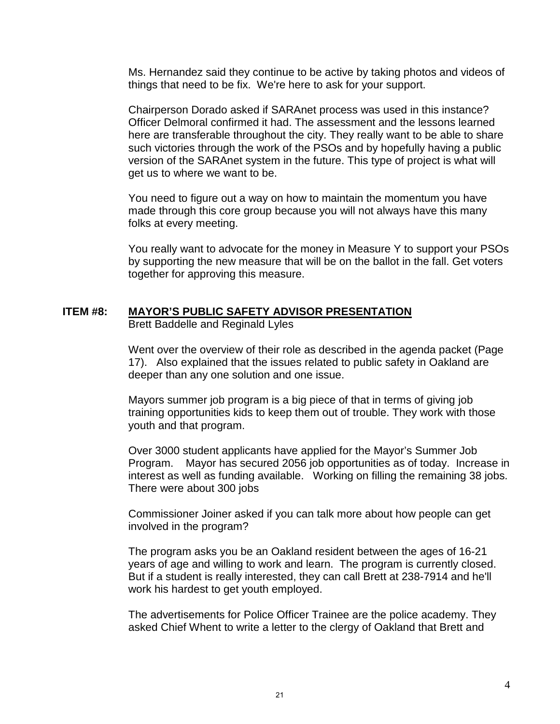Ms. Hernandez said they continue to be active by taking photos and videos of things that need to be fix. We're here to ask for your support.

Chairperson Dorado asked if SARAnet process was used in this instance? Officer Delmoral confirmed it had. The assessment and the lessons learned here are transferable throughout the city. They really want to be able to share such victories through the work of the PSOs and by hopefully having a public version of the SARAnet system in the future. This type of project is what will get us to where we want to be.

You need to figure out a way on how to maintain the momentum you have made through this core group because you will not always have this many folks at every meeting.

You really want to advocate for the money in Measure Y to support your PSOs by supporting the new measure that will be on the ballot in the fall. Get voters together for approving this measure.

### **ITEM #8: MAYOR'S PUBLIC SAFETY ADVISOR PRESENTATION**

Brett Baddelle and Reginald Lyles

Went over the overview of their role as described in the agenda packet (Page 17). Also explained that the issues related to public safety in Oakland are deeper than any one solution and one issue.

Mayors summer job program is a big piece of that in terms of giving job training opportunities kids to keep them out of trouble. They work with those youth and that program.

Over 3000 student applicants have applied for the Mayor's Summer Job Program. Mayor has secured 2056 job opportunities as of today. Increase in interest as well as funding available. Working on filling the remaining 38 jobs. There were about 300 jobs

Commissioner Joiner asked if you can talk more about how people can get involved in the program?

The program asks you be an Oakland resident between the ages of 16-21 years of age and willing to work and learn. The program is currently closed. But if a student is really interested, they can call Brett at 238-7914 and he'll work his hardest to get youth employed.

The advertisements for Police Officer Trainee are the police academy. They asked Chief Whent to write a letter to the clergy of Oakland that Brett and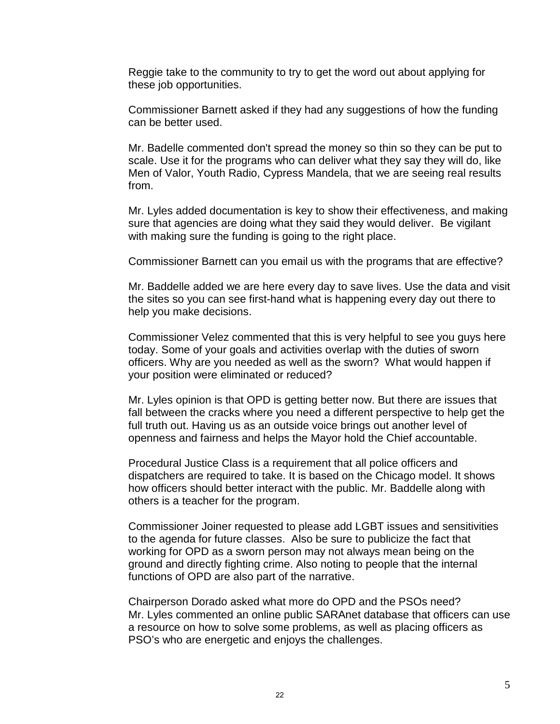Reggie take to the community to try to get the word out about applying for these job opportunities.

Commissioner Barnett asked if they had any suggestions of how the funding can be better used.

Mr. Badelle commented don't spread the money so thin so they can be put to scale. Use it for the programs who can deliver what they say they will do, like Men of Valor, Youth Radio, Cypress Mandela, that we are seeing real results from.

Mr. Lyles added documentation is key to show their effectiveness, and making sure that agencies are doing what they said they would deliver. Be vigilant with making sure the funding is going to the right place.

Commissioner Barnett can you email us with the programs that are effective?

Mr. Baddelle added we are here every day to save lives. Use the data and visit the sites so you can see first-hand what is happening every day out there to help you make decisions.

Commissioner Velez commented that this is very helpful to see you guys here today. Some of your goals and activities overlap with the duties of sworn officers. Why are you needed as well as the sworn? What would happen if your position were eliminated or reduced?

Mr. Lyles opinion is that OPD is getting better now. But there are issues that fall between the cracks where you need a different perspective to help get the full truth out. Having us as an outside voice brings out another level of openness and fairness and helps the Mayor hold the Chief accountable.

Procedural Justice Class is a requirement that all police officers and dispatchers are required to take. It is based on the Chicago model. It shows how officers should better interact with the public. Mr. Baddelle along with others is a teacher for the program.

Commissioner Joiner requested to please add LGBT issues and sensitivities to the agenda for future classes. Also be sure to publicize the fact that working for OPD as a sworn person may not always mean being on the ground and directly fighting crime. Also noting to people that the internal functions of OPD are also part of the narrative.

Chairperson Dorado asked what more do OPD and the PSOs need? Mr. Lyles commented an online public SARAnet database that officers can use a resource on how to solve some problems, as well as placing officers as PSO's who are energetic and enjoys the challenges.

5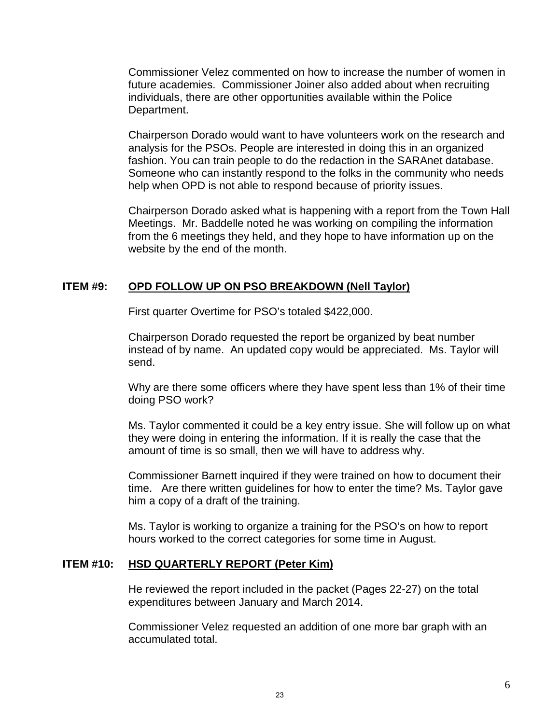Commissioner Velez commented on how to increase the number of women in future academies. Commissioner Joiner also added about when recruiting individuals, there are other opportunities available within the Police Department.

Chairperson Dorado would want to have volunteers work on the research and analysis for the PSOs. People are interested in doing this in an organized fashion. You can train people to do the redaction in the SARAnet database. Someone who can instantly respond to the folks in the community who needs help when OPD is not able to respond because of priority issues.

Chairperson Dorado asked what is happening with a report from the Town Hall Meetings. Mr. Baddelle noted he was working on compiling the information from the 6 meetings they held, and they hope to have information up on the website by the end of the month.

#### **ITEM #9: OPD FOLLOW UP ON PSO BREAKDOWN (Nell Taylor)**

First quarter Overtime for PSO's totaled \$422,000.

Chairperson Dorado requested the report be organized by beat number instead of by name. An updated copy would be appreciated. Ms. Taylor will send.

Why are there some officers where they have spent less than 1% of their time doing PSO work?

Ms. Taylor commented it could be a key entry issue. She will follow up on what they were doing in entering the information. If it is really the case that the amount of time is so small, then we will have to address why.

Commissioner Barnett inquired if they were trained on how to document their time. Are there written guidelines for how to enter the time? Ms. Taylor gave him a copy of a draft of the training.

Ms. Taylor is working to organize a training for the PSO's on how to report hours worked to the correct categories for some time in August.

### **ITEM #10: HSD QUARTERLY REPORT (Peter Kim)**

He reviewed the report included in the packet (Pages 22-27) on the total expenditures between January and March 2014.

Commissioner Velez requested an addition of one more bar graph with an accumulated total.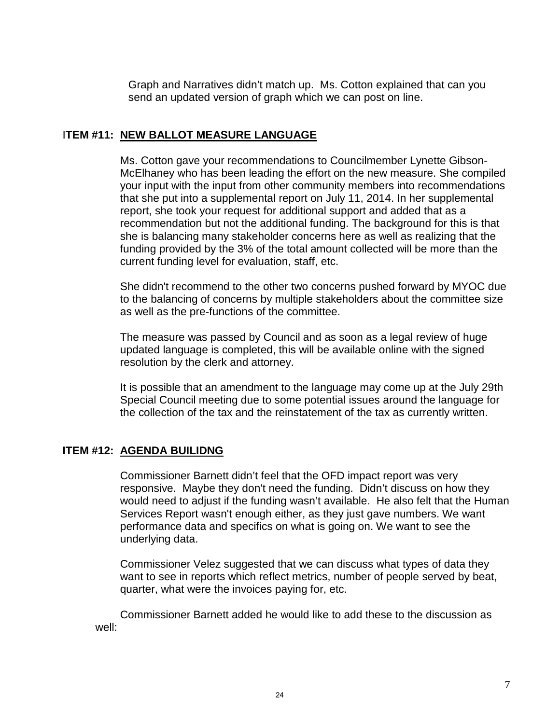Graph and Narratives didn't match up. Ms. Cotton explained that can you send an updated version of graph which we can post on line.

## I**TEM #11: NEW BALLOT MEASURE LANGUAGE**

Ms. Cotton gave your recommendations to Councilmember Lynette Gibson-McElhaney who has been leading the effort on the new measure. She compiled your input with the input from other community members into recommendations that she put into a supplemental report on July 11, 2014. In her supplemental report, she took your request for additional support and added that as a recommendation but not the additional funding. The background for this is that she is balancing many stakeholder concerns here as well as realizing that the funding provided by the 3% of the total amount collected will be more than the current funding level for evaluation, staff, etc.

She didn't recommend to the other two concerns pushed forward by MYOC due to the balancing of concerns by multiple stakeholders about the committee size as well as the pre-functions of the committee.

The measure was passed by Council and as soon as a legal review of huge updated language is completed, this will be available online with the signed resolution by the clerk and attorney.

It is possible that an amendment to the language may come up at the July 29th Special Council meeting due to some potential issues around the language for the collection of the tax and the reinstatement of the tax as currently written.

### **ITEM #12: AGENDA BUILIDNG**

Commissioner Barnett didn't feel that the OFD impact report was very responsive. Maybe they don't need the funding. Didn't discuss on how they would need to adjust if the funding wasn't available. He also felt that the Human Services Report wasn't enough either, as they just gave numbers. We want performance data and specifics on what is going on. We want to see the underlying data.

Commissioner Velez suggested that we can discuss what types of data they want to see in reports which reflect metrics, number of people served by beat, quarter, what were the invoices paying for, etc.

Commissioner Barnett added he would like to add these to the discussion as well: